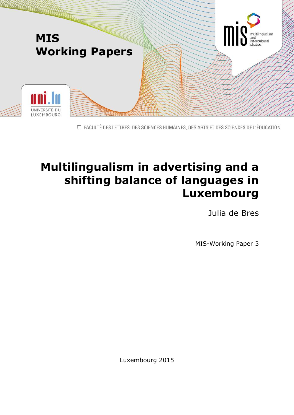

□ FACULTÉ DES LETTRES, DES SCIENCES HUMAINES, DES ARTS ET DES SCIENCES DE L'ÉDUCATION

# **Multilingualism in advertising and a shifting balance of languages in Luxembourg**

Julia de Bres

MIS-Working Paper 3

Luxembourg 2015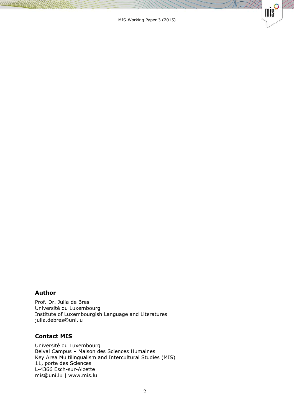MIS-Working Paper 3 (2015)

※

 $mis^{\circ}$ 



Prof. Dr. Julia de Bres Université du Luxembourg Institute of Luxembourgish Language and Literatures julia.debres@uni.lu

#### **Contact MIS**

Université du Luxembourg Belval Campus – Maison des Sciences Humaines Key Area Multilingualism and Intercultural Studies (MIS) 11, porte des Sciences L-4366 Esch-sur-Alzette [mis@uni.lu](mailto:mis@uni.lu) | [www.mis.lu](http://www.mis.lu/)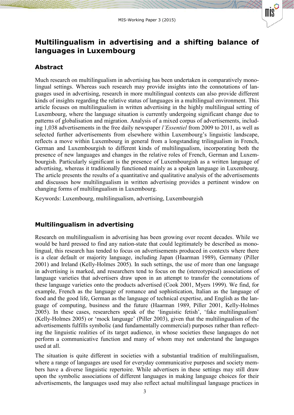

# **Multilingualism in advertising and a shifting balance of languages in Luxembourg**

# **Abstract**

Much research on multilingualism in advertising has been undertaken in comparatively monolingual settings. Whereas such research may provide insights into the connotations of languages used in advertising, research in more multilingual contexts can also provide different kinds of insights regarding the relative status of languages in a multilingual environment. This article focuses on multilingualism in written advertising in the highly multilingual setting of Luxembourg, where the language situation is currently undergoing significant change due to patterns of globalisation and migration. Analysis of a mixed corpus of advertisements, including 1,038 advertisements in the free daily newspaper *l'Essentiel* from 2009 to 2011, as well as selected further advertisements from elsewhere within Luxembourg's linguistic landscape, reflects a move within Luxembourg in general from a longstanding trilingualism in French, German and Luxembourgish to different kinds of multilingualism, incorporating both the presence of new languages and changes in the relative roles of French, German and Luxembourgish. Particularly significant is the presence of Luxembourgish as a written language of advertising, whereas it traditionally functioned mainly as a spoken language in Luxembourg. The article presents the results of a quantitative and qualitative analysis of the advertisements and discusses how multilingualism in written advertising provides a pertinent window on changing forms of multilingualism in Luxembourg.

Keywords: Luxembourg, multilingualism, advertising, Luxembourgish

## **Multilingualism in advertising**

Research on multilingualism in advertising has been growing over recent decades. While we would be hard pressed to find any nation-state that could legitimately be described as monolingual, this research has tended to focus on advertisements produced in contexts where there is a clear default or majority language, including Japan (Haarman 1989), Germany (Piller 2001) and Ireland (Kelly-Holmes 2005). In such settings, the use of more than one language in advertising is marked, and researchers tend to focus on the (stereotypical) associations of language varieties that advertisers draw upon in an attempt to transfer the connotations of these language varieties onto the products advertised (Cook 2001, Myers 1999). We find, for example, French as the language of romance and sophistication, Italian as the language of food and the good life, German as the language of technical expertise, and English as the language of computing, business and the future (Haarman 1989, Piller 2001, Kelly-Holmes 2005). In these cases, researchers speak of the 'linguistic fetish', 'fake multilingualism' (Kelly-Holmes 2005) or 'mock language' (Piller 2003), given that the multilingualism of the advertisements fulfills symbolic (and fundamentally commercial) purposes rather than reflecting the linguistic realities of its target audience, in whose societies these languages do not perform a communicative function and many of whom may not understand the languages used at all.

The situation is quite different in societies with a substantial tradition of multilingualism, where a range of languages are used for everyday communicative purposes and society members have a diverse linguistic repertoire. While advertisers in these settings may still draw upon the symbolic associations of different languages in making language choices for their advertisements, the languages used may also reflect actual multilingual language practices in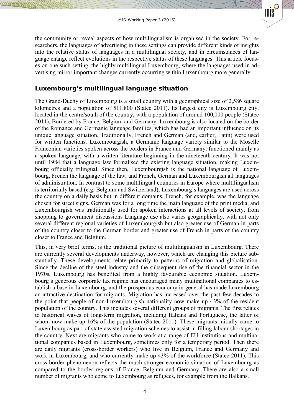

the community or reveal aspects of how multilingualism is organised in the society. For researchers, the languages of advertising in these settings can provide different kinds of insights into the relative status of languages in a multilingual society, and in circumstances of language change reflect evolutions in the respective status of these languages. This article focuses on one such setting, the highly multilingual Luxembourg, where the languages used in advertising mirror important changes currently occurring within Luxembourg more generally.

#### **Luxembourg's multilingual language situation**

The Grand-Duchy of Luxembourg is a small country with a geographical size of 2,586 square kilometres and a population of 511,800 (Statec 2011). Its largest city is Luxembourg city, located in the centre/south of the country, with a population of around 100,000 people (Statec 2011). Bordered by France, Belgium and Germany, Luxembourg is also located on the border of the Romance and Germanic language families, which has had an important influence on its unique language situation. Traditionally, French and German (and, earlier, Latin) were used for written functions. Luxembourgish, a Germanic language variety similar to the Moselle Franconian varieties spoken across the borders in France and Germany, functioned mainly as a spoken language, with a written literature beginning in the nineteenth century. It was not until 1984 that a language law formalised the existing language situation, making Luxembourg officially trilingual. Since then, Luxembourgish is the national language of Luxembourg, French the language of the law, and French, German and Luxembourgish all languages of administration. In contrast to some multilingual countries in Europe where multilingualism is territorially based (e.g. Belgium and Switzerland), Luxembourg's languages are used across the country on a daily basis but in different domains. French, for example, was the language chosen for street signs, German was for a long time the main language of the print media, and Luxembourgish was traditionally used for spoken interactions at all levels of society, from shopping to government discussions Language use also varies geographically, with not only several different regional varieties of Luxembourgish but also greater use of German in parts of the country closer to the German border and greater use of French in parts of the country closer to France and Belgium.

This, in very brief terms, is the traditional picture of multilingualism in Luxembourg. There are currently several developments underway, however, which are changing this picture substantially. These developments relate primarily to patterns of migration and globalisation. Since the decline of the steel industry and the subsequent rise of the financial sector in the 1970s, Luxembourg has benefited from a highly favourable economic situation. Luxembourg's generous corporate tax regime has encouraged many multinational companies to establish a base in Luxembourg, and the prosperous economy in general has made Luxembourg an attractive destination for migrants. Migration has increased over the past few decades to the point that people of non-Luxembourgish nationality now make up 43% of the resident population of the country. This includes several different groups of migrants. The first relates to historical waves of long-term migration, including Italians and Portuguese, the latter of whom now make up 16% of the population (Statec 2011). These migrants initially came to Luxembourg as part of state-assisted migration schemes to assist in filling labour shortages in the country. Next are migrants who come to work at a range of EU institutions and multinational companies based in Luxembourg, sometimes only for a temporary period. Then there are daily migrants (cross-border workers) who live in Belgium, France and Germany and work in Luxembourg, and who currently make up 43% of the workforce (Statec 2011). This cross-border phenomenon reflects the much stronger economic situation of Luxembourg as compared to the border regions of France, Belgium and Germany. There are also a small number of migrants who come to Luxembourg as refugees, for example from the Balkans.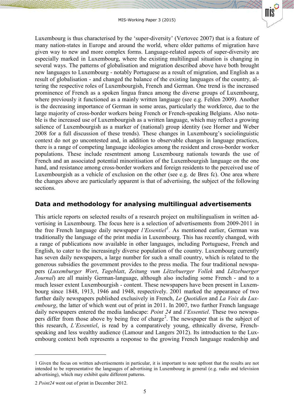

Luxembourg is thus characterised by the 'super-diversity' (Vertovec 2007) that is a feature of many nation-states in Europe and around the world, where older patterns of migration have given way to new and more complex forms. Language-related aspects of super-diversity are especially marked in Luxembourg, where the existing multilingual situation is changing in several ways. The patterns of globalisation and migration described above have both brought new languages to Luxembourg - notably Portuguese as a result of migration, and English as a result of globalisation - and changed the balance of the existing languages of the country, altering the respective roles of Luxembourgish, French and German. One trend is the increased prominence of French as a spoken lingua franca among the diverse groups of Luxembourg, where previously it functioned as a mainly written language (see e.g. Fehlen 2009). Another is the decreasing importance of German in some areas, particularly the workforce, due to the large majority of cross-border workers being French or French-speaking Belgians. Also notable is the increased use of Luxembourgish as a written language, which may reflect a growing salience of Luxembourgish as a marker of (national) group identity (see Horner and Weber 2008 for a full discussion of these trends). These changes in Luxembourg's sociolinguistic context do not go uncontested and, in addition to observable changes in language practices, there is a range of competing language ideologies among the resident and cross-border worker populations. These include resentment among Luxembourg nationals towards the use of French and an associated potential minoritisation of the Luxembourgish language on the one hand, and resistance among cross-border workers and foreign residents to the perceived use of Luxembourgish as a vehicle of exclusion on the other (see e.g. de Bres fc). One area where the changes above are particularly apparent is that of advertising, the subject of the following sections.

#### **Data and methodology for analysing multilingual advertisements**

This article reports on selected results of a research project on multilingualism in written advertising in Luxembourg. The focus here is a selection of advertisements from 2009-2011 in the free French language daily newspaper *l'Essentiel[1](#page-4-0)* . As mentioned earlier, German was traditionally the language of the print media in Luxembourg. This has recently changed, with a range of publications now available in other languages, including Portuguese, French and English, to cater to the increasingly diverse population of the country. Luxembourg currently has seven daily newspapers, a large number for such a small country, which is related to the generous subsidies the government provides to the press media. The four traditional newspapers (*Luxemburger Wort*, *Tageblatt*, *[Zeitung vum Lëtzebuerger Vollek](http://www.zlv.lu/)* and *Lëtzebuerger Journal*) are all mainly German-language, although also including some French - and to a much lesser extent Luxembourgish - content. These newspapers have been present in Luxembourg since 1848, 1913, 1946 and 1948, respectively. 2001 marked the appearance of two further daily newspapers published exclusively in French, *Le Quotidien* and *La Voix du Luxembourg*, the latter of which went out of print in 2011. In 2007, two further French language daily newspapers entered the media landscape: *Point 24* and *l'Essentiel*. These two newspa-pers differ from those above by being free of charge<sup>[2](#page-4-1)</sup>. The newspaper that is the subject of this research, *L'Essentiel*, is read by a comparatively young, ethnically diverse, Frenchspeaking and less wealthy audience (Lamour and Langers 2012). Its introduction to the Luxembourg context both represents a response to the growing French language readership and

-

<span id="page-4-0"></span><sup>1</sup> Given the focus on written advertisements in particular, it is important to note upfront that the results are not intended to be representative the languages of advertising in Luxembourg in general (e.g. radio and television advertising), which may exhibit quite different patterns.

<span id="page-4-1"></span><sup>2</sup> *Point24* went out of print in December 2012.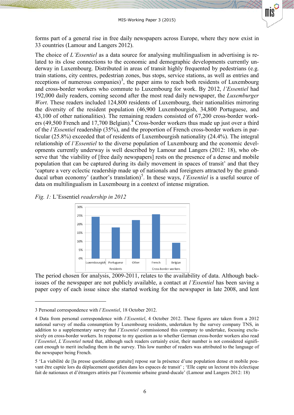

forms part of a general rise in free daily newspapers across Europe, where they now exist in 33 countries (Lamour and Langers 2012).

The choice of *L'Essentiel* as a data source for analysing multilingualism in advertising is related to its close connections to the economic and demographic developments currently underway in Luxembourg. Distributed in areas of transit highly frequented by pedestrians (e.g. train stations, city centres, pedestrian zones, bus stops, service stations, as well as entries and receptions of numerous companies)<sup>[3](#page-5-0)</sup>, the paper aims to reach both residents of Luxembourg and cross-border workers who commute to Luxembourg for work. By 2012, *l'Essentiel* had 192,000 daily readers, coming second after the most read daily newspaper, the *Luxemburger Wort*. These readers included 124,800 residents of Luxembourg, their nationalities mirroring the diversity of the resident population (46,900 Luxembourgish, 34,800 Portuguese, and 43,100 of other nationalities). The remaining readers consisted of 67,200 cross-border work-ers ([4](#page-5-1)9,500 French and 17,700 Belgian).<sup>4</sup> Cross-border workers thus made up just over a third of the *l'Essentiel* readership (35%), and the proportion of French cross-border workers in particular (25.8%) exceeded that of residents of Luxembourgish nationality (24.4%). The integral relationship of *l'Essentiel* to the diverse population of Luxembourg and the economic developments currently underway is well described by Lamour and Langers (2012: 18), who observe that 'the viability of [free daily newspapers] rests on the presence of a dense and mobile population that can be captured during its daily movement in spaces of transit' and that they 'capture a very eclectic readership made up of nationals and foreigners attracted by the grand-ducal urban economy' (author's translation)<sup>[5](#page-5-2)</sup>. In these ways, *l'Essentiel* is a useful source of data on multilingualism in Luxembourg in a context of intense migration.





The period chosen for analysis, 2009-2011, relates to the availability of data. Although backissues of the newspaper are not publicly available, a contact at *l'Essentiel* has been saving a paper copy of each issue since she started working for the newspaper in late 2008, and lent

<u>.</u>

<span id="page-5-0"></span><sup>3</sup> Personal correspondence with *l'Essentiel*, 18 October 2012.

<span id="page-5-1"></span><sup>4</sup> Data from personal correspondence with *l'Essentiel*, 4 October 2012. These figures are taken from a 2012 national survey of media consumption by Luxembourg residents, undertaken by the survey company TNS, in addition to a supplementary survey that *l'Essentiel* commissioned this company to undertake, focusing exclusively on cross-border workers. In response to my question as to whether German cross-border workers also read *l'Essentiel*, *L'Essentiel* noted that, although such readers certainly exist, their number is not considered significant enough to merit including them in the survey. This low number of readers was attributed to the language of the newspaper being French.

<span id="page-5-2"></span><sup>5</sup> 'La viabilité de [la presse quotidienne gratuite] repose sur la présence d'une population dense et mobile pouvant être captée lors du déplacement quotidien dans les espaces de transit' ; 'Elle capte un lectorat très éclectique fait de nationaux et d'étrangers attirés par l'économie urbaine grand-ducale' (Lamour and Langers 2012: 18)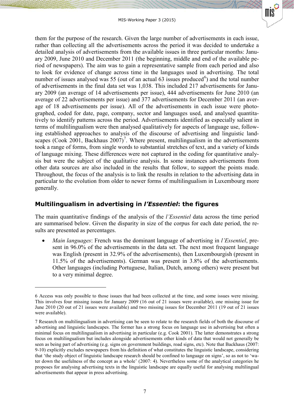

them for the purpose of the research. Given the large number of advertisements in each issue, rather than collecting all the advertisements across the period it was decided to undertake a detailed analysis of advertisements from the available issues in three particular months: January 2009, June 2010 and December 2011 (the beginning, middle and end of the available period of newspapers). The aim was to gain a representative sample from each period and also to look for evidence of change across time in the languages used in advertising. The total number of issues analysed was 55 (out of an actual  $63$  $63$  issues produced<sup>6</sup>) and the total number of advertisements in the final data set was 1,038. This included 217 advertisements for January 2009 (an average of 14 advertisements per issue), 444 advertisements for June 2010 (an average of 22 advertisements per issue) and 377 advertisements for December 2011 (an average of 18 advertisements per issue). All of the advertisements in each issue were photographed, coded for date, page, company, sector and languages used, and analysed quantitatively to identify patterns across the period. Advertisements identified as especially salient in terms of multilingualism were then analysed qualitatively for aspects of language use, following established approaches to analysis of the discourse of advertising and linguistic land-scapes (Cook 2001, Backhaus 200[7](#page-6-1))<sup>7</sup>. Where present, multilingualism in the advertisements took a range of forms, from single words to substantial stretches of text, and a variety of kinds of language mixing. These differences were not captured in the coding for quantitative analysis but were the subject of the qualitative analysis. In some instances advertisements from other data sources are also included in the results that follow, to support the points made. Throughout, the focus of the analysis is to link the results in relation to the advertising data in particular to the evolution from older to newer forms of multilingualism in Luxembourg more generally.

#### **Multilingualism in advertising in** *l'Essentiel***: the figures**

-

The main quantitative findings of the analysis of the *l'Essentiel* data across the time period are summarised below. Given the disparity in size of the corpus for each date period, the results are presented as percentages.

• *Main languages*: French was the dominant language of advertising in *l'Essentiel*, present in 96.0% of the advertisements in the data set. The next most frequent language was English (present in 32.9% of the advertisements), then Luxembourgish (present in 11.5% of the advertisements). German was present in 3.8% of the advertisements. Other languages (including Portuguese, Italian, Dutch, among others) were present but to a very minimal degree.

<span id="page-6-0"></span><sup>6</sup> Access was only possible to those issues that had been collected at the time, and some issues were missing. This involves four missing issues for January 2009 (16 out of 21 issues were available), one missing issue for June 2010 (20 out of 21 issues were available) and two missing issues for December 2011 (19 out of 21 issues were available).

<span id="page-6-1"></span><sup>7</sup> Research on multilingualism in advertising can be seen to relate to the research fields of both the discourse of advertising and linguistic landscapes. The former has a strong focus on language use in advertising but often a minimal focus on multilingualism in advertising in particular (e.g. Cook 2001). The latter demonstrates a strong focus on multilingualism but includes alongside advertisements other kinds of data that would not generally be seen as being part of advertising (e.g. signs on government buildings, road signs, etc). Note that Backhaus (2007: 9-10) explicitly excludes newspapers from his definition of what constitutes the linguistic landscape, considering that 'the study object of linguistic landscape research should be confined to language on signs', so as not to 'water down the usefulness of the concept as a whole' (2007: 4). Nevertheless some of the analytical categories he proposes for analysing advertising texts in the linguistic landscape are equally useful for analysing multilingual advertisements that appear in press advertising.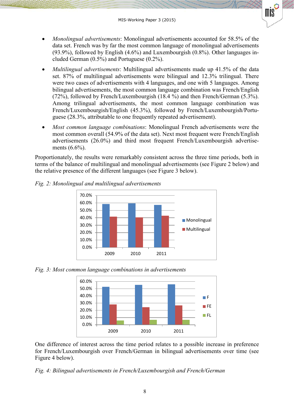

- *Monolingual advertisements*: Monolingual advertisements accounted for 58.5% of the data set. French was by far the most common language of monolingual advertisements (93.9%), followed by English (4.6%) and Luxembourgish (0.8%). Other languages included German (0.5%) and Portuguese (0.2%).
- *Multilingual advertisements*: Multilingual advertisements made up 41.5% of the data set. 87% of multilingual advertisements were bilingual and 12.3% trilingual. There were two cases of advertisements with 4 languages, and one with 5 languages. Among bilingual advertisements, the most common language combination was French/English (72%), followed by French/Luxembourgish (18.4 %) and then French/German (5.3%). Among trilingual advertisements, the most common language combination was French/Luxembourgish/English (45.3%), followed by French/Luxembourgish/Portuguese (28.3%, attributable to one frequently repeated advertisement).
- *Most common language combinations*: Monolingual French advertisements were the most common overall (54.9% of the data set). Next most frequent were French/English advertisements (26.0%) and third most frequent French/Luxembourgish advertisements (6.6%).

Proportionately, the results were remarkably consistent across the three time periods, both in terms of the balance of multilingual and monolingual advertisements (see Figure 2 below) and the relative presence of the different languages (see Figure 3 below).



*Fig. 2: Monolingual and multilingual advertisements*

*Fig. 3: Most common language combinations in advertisements*



One difference of interest across the time period relates to a possible increase in preference for French/Luxembourgish over French/German in bilingual advertisements over time (see Figure 4 below).

*Fig. 4: Bilingual advertisements in French/Luxembourgish and French/German*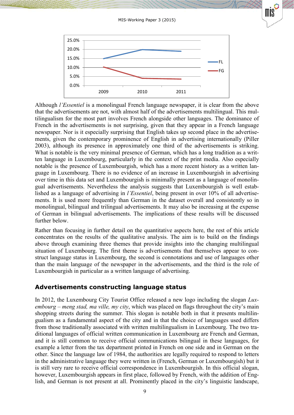mis<sup>o</sup>



Although *l'Essentiel* is a monolingual French language newspaper, it is clear from the above that the advertisements are not, with almost half of the advertisements multilingual. This multilingualism for the most part involves French alongside other languages. The dominance of French in the advertisements is not surprising, given that they appear in a French language newspaper. Nor is it especially surprising that English takes up second place in the advertisements, given the contemporary prominence of English in advertising internationally (Piller 2003), although its presence in approximately one third of the advertisements is striking. What is notable is the very minimal presence of German, which has a long tradition as a written language in Luxembourg, particularly in the context of the print media. Also especially notable is the presence of Luxembourgish, which has a more recent history as a written language in Luxembourg. There is no evidence of an increase in Luxembourgish in advertising over time in this data set and Luxembourgish is minimally present as a language of monolingual advertisements. Nevertheless the analysis suggests that Luxembourgish is well established as a language of advertising in *l'Essentiel*, being present in over 10% of all advertisements. It is used more frequently than German in the dataset overall and consistently so in monolingual, bilingual and trilingual advertisements. It may also be increasing at the expense of German in bilingual advertisements. The implications of these results will be discussed further below.

Rather than focusing in further detail on the quantitative aspects here, the rest of this article concentrates on the results of the qualitative analysis. The aim is to build on the findings above through examining three themes that provide insights into the changing multilingual situation of Luxembourg. The first theme is advertisements that themselves appear to construct language status in Luxembourg, the second is connotations and use of languages other than the main language of the newspaper in the advertisements, and the third is the role of Luxembourgish in particular as a written language of advertising.

#### **Advertisements constructing language status**

In 2012, the Luxembourg City Tourist Office released a new logo including the slogan *Luxembourg – meng stad, ma ville, my city*, which was placed on flags throughout the city's main shopping streets during the summer. This slogan is notable both in that it presents multilingualism as a fundamental aspect of the city and in that the choice of languages used differs from those traditionally associated with written multilingualism in Luxembourg. The two traditional languages of official written communication in Luxembourg are French and German, and it is still common to receive official communications bilingual in these languages, for example a letter from the tax department printed in French on one side and in German on the other. Since the language law of 1984, the authorities are legally required to respond to letters in the administrative language they were written in (French, German or Luxembourgish) but it is still very rare to receive official correspondence in Luxembourgish. In this official slogan, however, Luxembourgish appears in first place, followed by French, with the addition of English, and German is not present at all. Prominently placed in the city's linguistic landscape,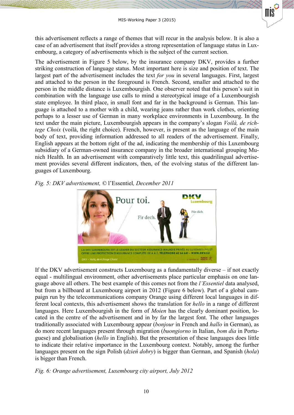

this advertisement reflects a range of themes that will recur in the analysis below. It is also a case of an advertisement that itself provides a strong representation of language status in Luxembourg, a category of advertisements which is the subject of the current section.

The advertisement in Figure 5 below, by the insurance company DKV, provides a further striking construction of language status. Most important here is size and position of text. The largest part of the advertisement includes the text *for you* in several languages. First, largest and attached to the person in the foreground is French. Second, smaller and attached to the person in the middle distance is Luxembourgish. One observer noted that this person's suit in combination with the language use calls to mind a stereotypical image of a Luxembourgish state employee. In third place, in small font and far in the background is German. This language is attached to a mother with a child, wearing jeans rather than work clothes, orienting perhaps to a lesser use of German in many workplace environments in Luxembourg. In the text under the main picture, Luxembourgish appears in the company's slogan *Voilà, de richtege Choix* (voilà, the right choice). French, however, is present as the language of the main body of text, providing information addressed to all readers of the advertisement. Finally, English appears at the bottom right of the ad, indicating the membership of this Luxembourg subsidiary of a German-owned insurance company in the broader international grouping Munich Health. In an advertisement with comparatively little text, this quadrilingual advertisement provides several different indicators, then, of the evolving status of the different languages of Luxembourg.





If the DKV advertisement constructs Luxembourg as a fundamentally diverse – if not exactly equal - multilingual environment, other advertisements place particular emphasis on one language above all others. The best example of this comes not from the *l'Essentiel* data analysed, but from a billboard at Luxembourg airport in 2012 (Figure 6 below). Part of a global campaign run by the telecommunications company Orange using different local languages in different local contexts, this advertisement shows the translation for *hello* in a range of different languages. Here Luxembourgish in the form of *Moien* has the clearly dominant position, located in the centre of the advertisement and in by far the largest font. The other languages traditionally associated with Luxembourg appear (*bonjour* in French and *hallo* in German), as do more recent languages present through migration (*buongiorno* in Italian, *bom dia* in Portuguese) and globalisation (*hello* in English). But the presentation of these languages does little to indicate their relative importance in the Luxembourg context. Notably, among the further languages present on the sign Polish (*dzień dobry*) is bigger than German, and Spanish (*hola*) is bigger than French.

*Fig. 6: Orange advertisement, Luxembourg city airport, July 2012*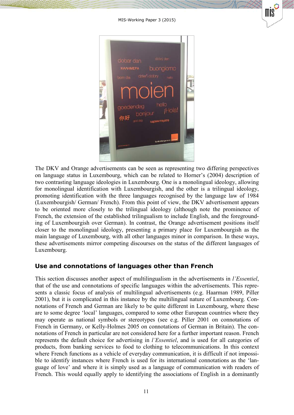



The DKV and Orange advertisements can be seen as representing two differing perspectives on language status in Luxembourg, which can be related to Horner's (2004) description of two contrasting language ideologies in Luxembourg. One is a monolingual ideology, allowing for monolingual identification with Luxembourgish, and the other is a trilingual ideology, promoting identification with the three languages recognised by the language law of 1984 (Luxembourgish/ German/ French). From this point of view, the DKV advertisement appears to be oriented more closely to the trilingual ideology (although note the prominence of French, the extension of the established trilingualism to include English, and the foregrounding of Luxembourgish over German). In contrast, the Orange advertisement positions itself closer to the monolingual ideology, presenting a primary place for Luxembourgish as the main language of Luxembourg, with all other languages minor in comparison. In these ways, these advertisements mirror competing discourses on the status of the different languages of Luxembourg.

## **Use and connotations of languages other than French**

This section discusses another aspect of multilingualism in the advertisements in *l'Essentiel*, that of the use and connotations of specific languages within the advertisements. This represents a classic focus of analysis of multilingual advertisements (e.g. Haarman 1989, Piller 2001), but it is complicated in this instance by the multilingual nature of Luxembourg. Connotations of French and German are likely to be quite different in Luxembourg, where these are to some degree 'local' languages, compared to some other European countries where they may operate as national symbols or stereotypes (see e.g. Piller 2001 on connotations of French in Germany, or Kelly-Holmes 2005 on connotations of German in Britain). The connotations of French in particular are not considered here for a further important reason. French represents the default choice for advertising in *l'Essentiel*, and is used for all categories of products, from banking services to food to clothing to telecommunications. In this context where French functions as a vehicle of everyday communication, it is difficult if not impossible to identify instances where French is used for its international connotations as the 'language of love' and where it is simply used as a language of communication with readers of French. This would equally apply to identifying the associations of English in a dominantly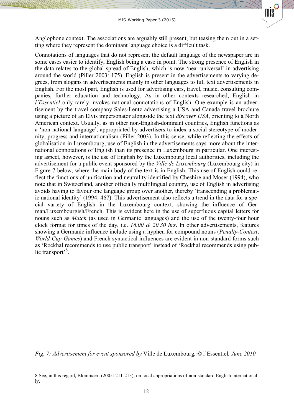

Anglophone context. The associations are arguably still present, but teasing them out in a setting where they represent the dominant language choice is a difficult task.

Connotations of languages that do not represent the default language of the newspaper are in some cases easier to identify, English being a case in point. The strong presence of English in the data relates to the global spread of English, which is now 'near-universal' in advertising around the world (Piller 2003: 175). English is present in the advertisements to varying degrees, from slogans in advertisements mainly in other languages to full text advertisements in English. For the most part, English is used for advertising cars, travel, music, consulting companies, further education and technology. As in other contexts researched, English in *l'Essentiel* only rarely invokes national connotations of English. One example is an advertisement by the travel company Sales-Lentz advertising a USA and Canada travel brochure using a picture of an Elvis impersonator alongside the text *discover USA*, orienting to a North American context. Usually, as in other non-English-dominant countries, English functions as a 'non-national language', appropriated by advertisers to index a social stereotype of modernity, progress and internationalism (Piller 2003). In this sense, while reflecting the effects of globalisation in Luxembourg, use of English in the advertisements says more about the international connotations of English than its presence in Luxembourg in particular. One interesting aspect, however, is the use of English by the Luxembourg local authorities, including the advertisement for a public event sponsored by the *Ville de Luxembourg* (Luxembourg city) in Figure 7 below, where the main body of the text is in English. This use of English could reflect the functions of unification and neutrality identified by Cheshire and Moser (1994), who note that in Switzerland, another officially multilingual country, use of English in advertising avoids having to favour one language group over another, thereby 'transcending a problematic national identity' (1994: 467). This advertisement also reflects a trend in the data for a special variety of English in the Luxembourg context, showing the influence of German/Luxembourgish/French. This is evident here in the use of superfluous capital letters for nouns such as *Match* (as used in Germanic languages) and the use of the twenty-four hour clock format for times of the day, i.e. *16.00 & 20.30 hrs*. In other advertisements, features showing a Germanic influence include using a hyphen for compound nouns (*Penalty-Contest*, *World-Cup-Games*) and French syntactical influences are evident in non-standard forms such as 'Rockhal recommends to use public transport' instead of 'Rockhal recommends using pub-lic transport'<sup>[8](#page-11-0)</sup>.

*Fig. 7: Advertisement for event sponsored by* Ville de Luxembourg*, ©* l'Essentiel*, June 2010*

<u>.</u>

<span id="page-11-0"></span><sup>8</sup> See, in this regard, Blommaert (2005: 211-213), on local appropriations of non-standard English internationally.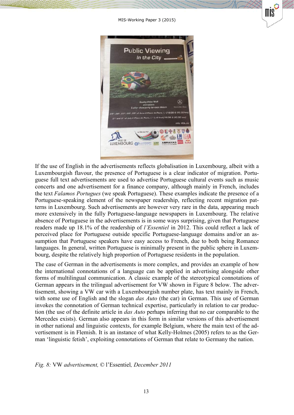MIS-Working Paper 3 (2015)

mis



If the use of English in the advertisements reflects globalisation in Luxembourg, albeit with a Luxembourgish flavour, the presence of Portuguese is a clear indicator of migration. Portuguese full text advertisements are used to advertise Portuguese cultural events such as music concerts and one advertisement for a finance company, although mainly in French, includes the text *Falamos Portugues* (we speak Portuguese). These examples indicate the presence of a Portuguese-speaking element of the newspaper readership, reflecting recent migration patterns in Luxembourg. Such advertisements are however very rare in the data, appearing much more extensively in the fully Portuguese-language newspapers in Luxembourg. The relative absence of Portuguese in the advertisements is in some ways surprising, given that Portuguese readers made up 18.1% of the readership of *l'Essentiel* in 2012. This could reflect a lack of perceived place for Portuguese outside specific Portuguese-language domains and/or an assumption that Portuguese speakers have easy access to French, due to both being Romance languages. In general, written Portuguese is minimally present in the public sphere in Luxembourg, despite the relatively high proportion of Portuguese residents in the population.

The case of German in the advertisements is more complex, and provides an example of how the international connotations of a language can be applied in advertising alongside other forms of multilingual communication. A classic example of the stereotypical connotations of German appears in the trilingual advertisement for VW shown in Figure 8 below. The advertisement, showing a VW car with a Luxembourgish number plate, has text mainly in French, with some use of English and the slogan *das Auto* (the car) in German. This use of German invokes the connotation of German technical expertise, particularly in relation to car production (the use of the definite article in *das Auto* perhaps inferring that no car comparable to the Mercedes exists). German also appears in this form in similar versions of this advertisement in other national and linguistic contexts, for example Belgium, where the main text of the advertisement is in Flemish. It is an instance of what Kelly-Holmes (2005) refers to as the German 'linguistic fetish', exploiting connotations of German that relate to Germany the nation.

*Fig. 8:* VW *advertisement, ©* l'Essentiel*, December 2011*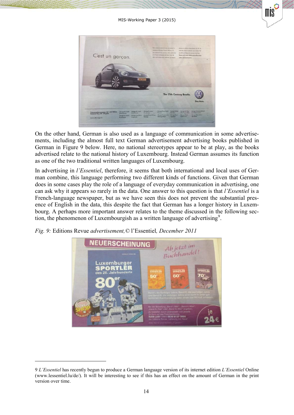MIS-Working Paper 3 (2015)

mis



On the other hand, German is also used as a language of communication in some advertisements, including the almost full text German advertisement advertising books published in German in Figure 9 below. Here, no national stereotypes appear to be at play, as the books advertised relate to the national history of Luxembourg. Instead German assumes its function as one of the two traditional written languages of Luxembourg.

In advertising in *l'Essentiel*, therefore, it seems that both international and local uses of German combine, this language performing two different kinds of functions. Given that German does in some cases play the role of a language of everyday communication in advertising, one can ask why it appears so rarely in the data. One answer to this question is that *l'Essentiel* is a French-language newspaper, but as we have seen this does not prevent the substantial presence of English in the data, this despite the fact that German has a longer history in Luxembourg. A perhaps more important answer relates to the theme discussed in the following sec-tion, the phenomenon of Luxembourgish as a written language of advertising<sup>[9](#page-13-0)</sup>.



-



<span id="page-13-0"></span><sup>9</sup> *L'Essentiel* has recently begun to produce a German language version of its internet edition *L'Essentiel* Online (www.lessentiel.lu/de/). It will be interesting to see if this has an effect on the amount of German in the print version over time.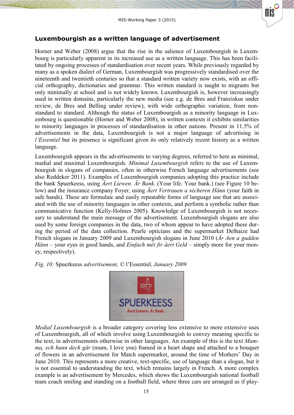

# **Luxembourgish as a written language of advertisement**

Horner and Weber (2008) argue that the rise in the salience of Luxembourgish in Luxembourg is particularly apparent in its increased use as a written language. This has been facilitated by ongoing processes of standardisation over recent years. While previously regarded by many as a spoken dialect of German, Luxembourgish was progressively standardised over the nineteenth and twentieth centuries so that a standard written variety now exists, with an official orthography, dictionaries and grammar. This written standard is taught to migrants but only minimally at school and is not widely known. Luxembourgish is, however increasingly used in written domains, particularly the new media (see e.g. de Bres and Franziskus under review, de Bres and Belling under review), with wide orthographic variation, from nonstandard to standard. Although the status of Luxembourgish as a minority language in Luxembourg is questionable (Horner and Weber 2008), in written contexts it exhibits similarities to minority languages in processes of standardisation in other nations. Present in 11.5% of advertisements in the data, Luxembourgish is not a major language of advertising in *l'Essentiel* but its presence is significant given its only relatively recent history as a written language.

Luxembourgish appears in the advertisements to varying degrees, referred to here as minimal, medial and maximal Luxembourgish. *Minimal Luxembourgish* refers to the use of Luxembourgish in slogans of companies, often in otherwise French language advertisements (see also Reddeker 2011). Examples of Luxembourgish companies adopting this practice include the bank Spuerkeess, using *Äert Liewen. Är Bank.* (Your life. Your bank.) (see Figure 10 below) and the insurance company Foyer, using *Äert Vertrauen a sécheren Hänn* (your faith in safe hands). These are formulaic and easily repeatable forms of language use that are associated with the use of minority languages in other contexts, and perform a symbolic rather than communicative function (Kelly-Holmes 2005). Knowledge of Luxembourgish is not necessary to understand the main message of the advertisement. Luxembourgish slogans are also used by some foreign companies in the data, two of whom appear to have adopted these during the period of the data collection. Pearle opticians and the supermarket Delhaize had French slogans in January 2009 and Luxembourgish slogans in June 2010 (*Är Aen a gudden Hänn* – your eyes in good hands, and *Einfach méi fir äert Geld* – simply more for your money, respectively).

*Fig. 10:* Spuerkeess *advertisement, ©* l'Essentiel*, January 2009*



*Medial Luxembourgish* is a broader category covering less extensive to more extensive uses of Luxembourgish, all of which involve using Luxembourgish to convey meaning specific to the text, in advertisements otherwise in other languages. An example of this is the text *Mamma, ech hunn dech gär* (mum, I love you) framed in a heart shape and attached to a bouquet of flowers in an advertisement for Match supermarket, around the time of Mothers' Day in June 2010. This represents a more creative, text-specific, use of language than a slogan, but it is not essential to understanding the text, which remains largely in French. A more complex example is an advertisement by Mercedes, which shows the Luxembourgish national football team coach smiling and standing on a football field, where three cars are arranged as if play-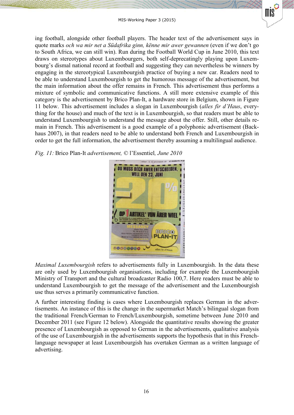

ing football, alongside other football players. The header text of the advertisement says in quote marks *och wa mir net a Südafrika ginn, kënne mir awer gewannen* (even if we don't go to South Africa, we can still win). Run during the Football World Cup in June 2010, this text draws on stereotypes about Luxembourgers, both self-deprecatingly playing upon Luxembourg's dismal national record at football and suggesting they can nevertheless be winners by engaging in the stereotypical Luxembourgish practice of buying a new car. Readers need to be able to understand Luxembourgish to get the humorous message of the advertisement, but the main information about the offer remains in French. This advertisement thus performs a mixture of symbolic and communicative functions. A still more extensive example of this category is the advertisement by Brico Plan-It, a hardware store in Belgium, shown in Figure 11 below. This advertisement includes a slogan in Luxembourgish (*alles fir d'Haus*, everything for the house) and much of the text is in Luxembourgish, so that readers must be able to understand Luxembourgish to understand the message about the offer. Still, other details remain in French. This advertisement is a good example of a polyphonic advertisement (Backhaus 2007), in that readers need to be able to understand both French and Luxembourgish in order to get the full information, the advertisement thereby assuming a multilingual audience.

*Fig. 11:* Brico Plan-It *advertisement, ©* l'Essentiel*, June 2010*



*Maximal Luxembourgish* refers to advertisements fully in Luxembourgish. In the data these are only used by Luxembourgish organisations, including for example the Luxembourgish Ministry of Transport and the cultural broadcaster Radio 100,7. Here readers must be able to understand Luxembourgish to get the message of the advertisement and the Luxembourgish use thus serves a primarily communicative function.

A further interesting finding is cases where Luxembourgish replaces German in the advertisements. An instance of this is the change in the supermarket Match's bilingual slogan from the traditional French/German to French/Luxembourgish, sometime between June 2010 and December 2011 (see Figure 12 below). Alongside the quantitative results showing the greater presence of Luxembourgish as opposed to German in the advertisements, qualitative analysis of the use of Luxembourgish in the advertisements supports the hypothesis that in this Frenchlanguage newspaper at least Luxembourgish has overtaken German as a written language of advertising.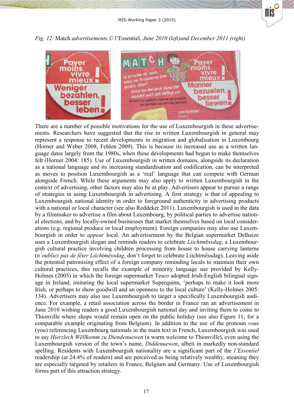

*Fig. 12:* Match *advertisements,©* l'Essentiel*, June 2010 (left)and December 2011 (right)*



There are a number of possible motivations for the use of Luxembourgish in these advertisements. Researchers have suggested that the rise in written Luxembourgish in general may represent a response to recent developments in migration and globalisation in Luxembourg (Horner and Weber 2008, Fehlen 2009). This is because its increased use as a written language dates largely from the 1980s, when these developments had begun to make themselves felt (Horner 2004: 185). Use of Luxembourgish in written domains, alongside its declaration as a national language and its increasing standardisation and codification, can be interpreted as moves to position Luxembourgish as a 'real' language that can compete with German alongside French. While these arguments may also apply to written Luxembourgish in the context of advertising, other factors may also be at play. Advertisers appear to pursue a range of strategies in using Luxembourgish in advertising. A first strategy is that of appealing to Luxembourgish national identity in order to foreground authenticity in advertising products with a national or local character (see also Reddeker 2011). Luxembourgish is used in the data by a filmmaker to advertise a film about Luxembourg, by political parties to advertise national elections, and by locally-owned businesses that market themselves based on local considerations (e.g. regional produce or local employment). Foreign companies may also use Luxembourgish in order to *appear* local. An advertisement by the Belgian supermarket Delhaize uses a Luxembourgish slogan and reminds readers to celebrate *Liichtm*ë*ssdag*, a Luxembourgish cultural practice involving children processing from house to house carrying lanterns (*n'oubliez pas de fêter Liichtmëssdag*, don't forget to celebrate Liichtmëssdag). Leaving aside the potential patronising effect of a foreign company reminding locals to maintain their own cultural practices, this recalls the example of minority language use provided by Kelly-Holmes (2005) in which the foreign supermarket Tesco adopted Irish-English bilingual signage in Ireland, imitating the local supermarket Superquinn, 'perhaps to make it look more Irish, or perhaps to show goodwill and an openness to the local culture' (Kelly-Holmes 2005: 134). Advertisers may also use Luxembourgish to target a specifically Luxembourgish audience. For example, a retail association across the border in France ran an advertisement in June 2010 wishing readers a good Luxembourgish national day and inviting them to come to Thionville where shops would remain open on the public holiday (see also Figure 11, for a comparable example originating from Belgium). In addition to the use of the pronoun *vous* (you) referencing Luxembourg nationals in the main text in French, Luxembourgish was used to say *Hierzlech Wëllkomm zu Diendenuewen* (a warm welcome to Thionville), even using the Luxembourgish version of the town's name, *Diddenuewen*, albeit in markedly non-standard spelling. Residents with Luxembourgish nationality are a significant part of the *l'Essentiel* readership (at 24.4% of readers) and are perceived as being relatively wealthy, meaning they are especially targeted by retailers in France, Belgium and Germany. Use of Luxembourgish forms part of this attraction strategy.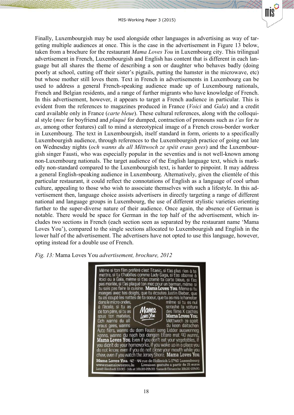

Finally, Luxembourgish may be used alongside other languages in advertising as way of targeting multiple audiences at once. This is the case in the advertisement in Figure 13 below, taken from a brochure for the restaurant *Mama Loves You* in Luxembourg city. This trilingual advertisement in French, Luxembourgish and English has content that is different in each language but all shares the theme of describing a son or daughter who behaves badly (doing poorly at school, cutting off their sister's pigtails, putting the hamster in the microwave, etc) but whose mother still loves them. Text in French in advertisements in Luxembourg can be used to address a general French-speaking audience made up of Luxembourg nationals, French and Belgian residents, and a range of further migrants who have knowledge of French. In this advertisement, however, it appears to target a French audience in particular. This is evident from the references to magazines produced in France (*Voici* and *Gala*) and a credit card available only in France (*carte bleue*). These cultural references, along with the colloquial style (*mec* for boyfriend and *plaqué* for dumped, contraction of pronouns such as *t'as* for *tu as*, among other features) call to mind a stereotypical image of a French cross-border worker in Luxembourg. The text in Luxembourgish, itself standard in form, orients to a specifically Luxembourgish audience, through references to the Luxembourgish practice of going out late on Wednesday nights (*och wanns du all Mëttwoch ze spéit eraus gees*) and the Luxembourgish singer Fausti, who was especially popular in the seventies and is not well-known among non-Luxembourg nationals. The target audience of the English language text, which is markedly non-standard compared to the Luxembourgish text, is harder to pinpoint. It may address a general English-speaking audience in Luxembourg. Alternatively, given the clientèle of this particular restaurant, it could reflect the connotations of English as a language of cool urban culture, appealing to those who wish to associate themselves with such a lifestyle. In this advertisement then, language choice assists advertisers in directly targeting a range of different national and language groups in Luxembourg, the use of different stylistic varieties orienting further to the super-diverse nature of their audience. Once again, the absence of German is notable. There would be space for German in the top half of the advertisement, which includes two sections in French (each section seen as separated by the restaurant name 'Mama Loves You'), compared to the single sections allocated to Luxembourgish and English in the lower half of the advertisement. The advertisers have not opted to use this language, however, opting instead for a double use of French.

*Fig. 13:* Mama Loves You *advertisement, brochure, 2012*

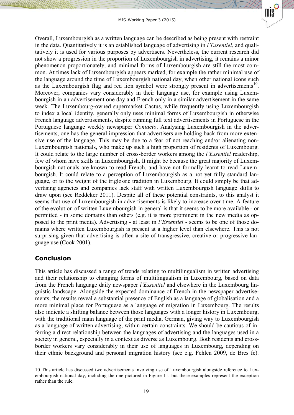

Overall, Luxembourgish as a written language can be described as being present with restraint in the data. Quantitatively it is an established language of advertising in *l'Essentiel*, and qualitatively it is used for various purposes by advertisers. Nevertheless, the current research did not show a progression in the proportion of Luxembourgish in advertising, it remains a minor phenomenon proportionately, and minimal forms of Luxembourgish are still the most common. At times lack of Luxembourgish appears marked, for example the rather minimal use of the language around the time of Luxembourgish national day, when other national icons such as the Luxembourgish flag and red lion symbol were strongly present in advertisements<sup>10</sup>. Moreover, companies vary considerably in their language use, for example using Luxembourgish in an advertisement one day and French only in a similar advertisement in the same week. The Luxembourg-owned supermarket Cactus, while frequently using Luxembourgish to index a local identity, generally only uses minimal forms of Luxembourgish in otherwise French language advertisements, despite running full text advertisements in Portuguese in the Portuguese language weekly newspaper *Contacto*. Analysing Luxembourgish in the advertisements, one has the general impression that advertisers are holding back from more extensive use of the language. This may be due to a fear of not reaching and/or alienating non-Luxembourgish nationals, who make up such a high proportion of residents of Luxembourg. It could relate to the large number of cross-border workers among the *l'Essentiel* readership, few of whom have skills in Luxembourgish. It might be because the great majority of Luxembourgish nationals are known to read French, and have not formally learnt to read Luxembourgish. It could relate to a perception of Luxembourgish as a not yet fully standard language, or to the weight of the triglossic tradition in Luxembourg. It could simply be that advertising agencies and companies lack staff with written Luxembourgish language skills to draw upon (see Reddeker 2011). Despite all of these potential constraints, to this analyst it seems that use of Luxembourgish in advertisements is likely to increase over time. A feature of the evolution of written Luxembourgish in general is that it seems to be more available - or permitted - in some domains than others (e.g. it is more prominent in the new media as opposed to the print media). Advertising - at least in *l'Essentiel* - seems to be one of those domains where written Luxembourgish is present at a higher level than elsewhere. This is not surprising given that advertising is often a site of transgressive, creative or progressive language use (Cook 2001).

#### **Conclusion**

-

This article has discussed a range of trends relating to multilingualism in written advertising and their relationship to changing forms of multilingualism in Luxembourg, based on data from the French language daily newspaper *l'Essentiel* and elsewhere in the Luxembourg linguistic landscape. Alongside the expected dominance of French in the newspaper advertisements, the results reveal a substantial presence of English as a language of globalisation and a more minimal place for Portuguese as a language of migration in Luxembourg. The results also indicate a shifting balance between those languages with a longer history in Luxembourg, with the traditional main language of the print media, German, giving way to Luxembourgish as a language of written advertising, within certain constraints. We should be cautious of inferring a direct relationship between the languages of advertising and the languages used in a society in general, especially in a context as diverse as Luxembourg. Both residents and crossborder workers vary considerably in their use of languages in Luxembourg, depending on their ethnic background and personal migration history (see e.g. Fehlen 2009, de Bres fc).

<span id="page-18-0"></span><sup>10</sup> This article has discussed two advertisements involving use of Luxembourgish alongside reference to Luxembourgish national day, including the one pictured in Figure 11, but these examples represent the exception rather than the rule.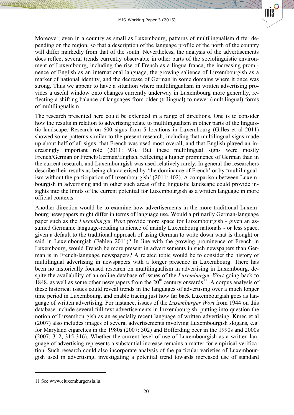

Moreover, even in a country as small as Luxembourg, patterns of multilingualism differ depending on the region, so that a description of the language profile of the north of the country will differ markedly from that of the south. Nevertheless, the analysis of the advertisements does reflect several trends currently observable in other parts of the sociolinguistic environment of Luxembourg, including the rise of French as a lingua franca, the increasing prominence of English as an international language, the growing salience of Luxembourgish as a marker of national identity, and the decrease of German in some domains where it once was strong. Thus we appear to have a situation where multilingualism in written advertising provides a useful window onto changes currently underway in Luxembourg more generally, reflecting a shifting balance of languages from older (trilingual) to newer (multilingual) forms of multilingualism.

The research presented here could be extended in a range of directions. One is to consider how the results in relation to advertising relate to multilingualism in other parts of the linguistic landscape. Research on 600 signs from 5 locations in Luxembourg (Gilles et al 2011) showed some patterns similar to the present research, including that multilingual signs made up about half of all signs, that French was used most overall, and that English played an increasingly important role (2011: 93). But these multilingual signs were mostly French/German or French/German/English, reflecting a higher prominence of German than in the current research, and Luxembourgish was used relatively rarely. In general the researchers describe their results as being characterised by 'the dominance of French' or by 'multilingualism without the participation of Luxembourgish' (2011: 102). A comparison between Luxembourgish in advertising and in other such areas of the linguistic landscape could provide insights into the limits of the current potential for Luxembourgish as a written language in more official contexts.

Another direction would be to examine how advertisements in the more traditional Luxembourg newspapers might differ in terms of language use. Would a primarily German-language paper such as the *Luxemburger Wort* provide more space for Luxembourgish - given an assumed Germanic language-reading audience of mainly Luxembourg nationals - or less space, given a default to the traditional approach of using German to write down what is thought or said in Luxembourgish (Fehlen 2011)? In line with the growing prominence of French in Luxembourg, would French be more present in advertisements in such newspapers than German is in French-language newspapers? A related topic would be to consider the history of multilingual advertising in newspapers with a longer presence in Luxembourg. There has been no historically focused research on multilingualism in advertising in Luxembourg, despite the availability of an online database of issues of the *Luxemburger Wort* going back to 1848, as well as some other newspapers from the  $20<sup>th</sup>$  century onwards<sup>11</sup>. A corpus analysis of these historical issues could reveal trends in the languages of advertising over a much longer time period in Luxembourg, and enable tracing just how far back Luxembourgish goes as language of written advertising. For instance, issues of the *Luxemburger Wort* from 1944 on this database include several full-text advertisements in Luxembourgish, putting into question the notion of Luxembourgish as an especially recent language of written advertising. Kmec et al (2007) also includes images of several advertisements involving Luxembourgish slogans, e.g. for Maryland cigarettes in the 1980s (2007: 302) and Bofferding beer in the 1990s and 2000s (2007: 312, 315-316). Whether the current level of use of Luxembourgish as a written language of advertising represents a substantial increase remains a matter for empirical verification. Such research could also incorporate analysis of the particular varieties of Luxembourgish used in advertising, investigating a potential trend towards increased use of standard

<u>.</u>

<span id="page-19-0"></span><sup>11</sup> See [www.eluxemburgensia.lu.](http://www.eluxemburgensia.lu/)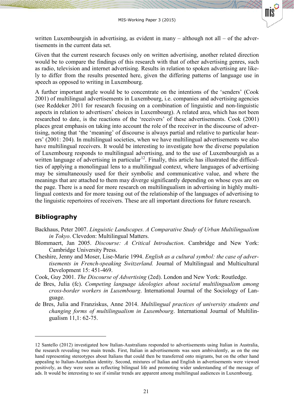

written Luxembourgish in advertising, as evident in many – although not all – of the advertisements in the current data set.

Given that the current research focuses only on written advertising, another related direction would be to compare the findings of this research with that of other advertising genres, such as radio, television and internet advertising. Results in relation to spoken advertising are likely to differ from the results presented here, given the differing patterns of language use in speech as opposed to writing in Luxembourg.

A further important angle would be to concentrate on the intentions of the 'senders' (Cook 2001) of multilingual advertisements in Luxembourg, i.e. companies and advertising agencies (see Reddeker 2011 for research focusing on a combination of linguistic and non-linguistic aspects in relation to advertisers' choices in Luxembourg). A related area, which has not been researched to date, is the reactions of the 'receivers' of these advertisements. Cook (2001) places great emphasis on taking into account the role of the receiver in the discourse of advertising, noting that 'the 'meaning' of discourse is always partial and relative to particular hearers' (2001: 204). In multilingual societies, when we have multilingual advertisements we also have multilingual receivers. It would be interesting to investigate how the diverse population of Luxembourg responds to multilingual advertising, and to the use of Luxembourgish as a written language of advertising in particular<sup>12</sup>. Finally, this article has illustrated the difficulties of applying a monolingual lens to a multilingual context, where languages of advertising may be simultaneously used for their symbolic and communicative value, and where the meanings that are attached to them may diverge significantly depending on whose eyes are on the page. There is a need for more research on multilingualism in advertising in highly multilingual contexts and for more teasing out of the relationship of the languages of advertising to the linguistic repertoires of receivers. These are all important directions for future research.

#### **Bibliography**

-

- Backhaus, Peter 2007. *Linguistic Landscapes. A Comparative Study of Urban Multilingualism in Tokyo*. Clevedon: Multilingual Matters.
- Blommaert, Jan 2005. *Discourse: A Critical Introduction*. Cambridge and New York: Cambridge University Press.
- Cheshire, Jenny and Moser, Lise-Marie 1994. *English as a cultural symbol: the case of advertisements in French-speaking Switzerland.* Journal of Multilingual and Multicultural Development 15: 451-469.

Cook, Guy 2001. *The Discourse of Advertising* (2ed). London and New York: Routledge.

- de Bres, Julia (fc). *Competing language ideologies about societal multilingualism among cross-border workers in Luxembourg*. International Journal of the Sociology of Language.
- de Bres, Julia and Franziskus, Anne 2014. *Multilingual practices of university students and changing forms of multilingualism in Luxembourg*. International Journal of Multilingualism 11,1: 62-75.

<span id="page-20-0"></span><sup>12</sup> Santello (2012) investigated how Italian-Australians responded to advertisements using Italian in Australia, the research revealing two main trends. First, Italian in advertisements was seen ambivalently, as on the one hand representing stereotypes about Italians that could then be transferred onto migrants, but on the other hand appealing to Italian-Australian identity. Second, mixtures of Italian and English in advertisements were viewed positively, as they were seen as reflecting bilingual life and promoting wider understanding of the message of ads. It would be interesting to see if similar trends are apparent among multilingual audiences in Luxembourg.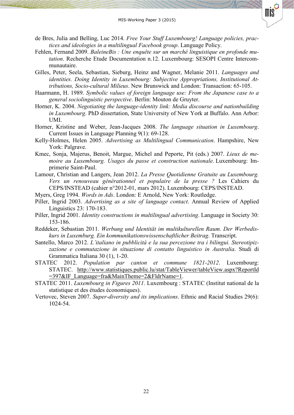

- de Bres, Julia and Belling, Luc 2014. *Free Your Stuff Luxembourg! Language policies, practices and ideologies in a multilingual Facebook group*. Language Policy.
- Fehlen, Fernand 2009. *BaleineBis : Une enquête sur un marché linguistique en profonde mutation*. Recherche Etude Documentation n.12. Luxembourg: SESOPI Centre Intercommunautaire.
- Gilles, Peter, Seela, Sebastian, Sieburg, Heinz and Wagner, Melanie 2011. *Languages and identities. Doing Identity in Luxembourg: Subjective Appropriations, Institutional Attributions, Socio-cultural Milieus*. New Brunswick and London: Transaction: 65-105.
- Haarmann, H. 1989. *Symbolic values of foreign language use: From the Japanese case to a general sociolinguistic perspective*. Berlin: Mouton de Gruyter.
- Horner, K. 2004. *Negotiating the language-identity link: Media discourse and nationbuilding in Luxembourg*. PhD dissertation, State University of New York at Buffalo. Ann Arbor: UMI.
- Horner, Kristine and Weber, Jean-Jacques 2008. *The language situation in Luxembourg*. Current Issues in Language Planning 9(1): 69-128.
- Kelly-Holmes, Helen 2005. *Advertising as Multilingual Communication*. Hampshire, New York: Palgrave.
- Kmec, Sonja, Majerus, Benoit, Margue, Michel and Peporte, Pit (eds.) 2007. *Lieux de memoire au Luxembourg. Usages du passe et construction nationale*. Luxembourg: Imprimerie Saint-Paul.
- Lamour, Christian and Langers, Jean 2012. *La Presse Quotidienne Gratuite au Luxembourg. Vers un renouveau générationnel et populaire de la presse ?* Les Cahiers du CEPS/INSTEAD (cahier n°2012-01, mars 2012). Luxembourg: CEPS/INSTEAD.
- Myers, Greg 1994. *Words in Ads*. London: E Arnold, New York: Routledge.
- Piller, Ingrid 2003. *Advertising as a site of language contact*. Annual Review of Applied Linguistics 23: 170-183.
- Piller, Ingrid 2001. *Identity constructions in multilingual advertising*. Language in Society 30: 153-186.
- Reddeker, Sebastian 2011. *Werbung und Identität im multikulturellen Raum. Der Werbediskurs in Luxemburg. Ein kommunikationswissenschaftlicher Beitrag*. Transcript.
- Santello, Marco 2012. *L'italiano in pubblicità e la sua percezione tra i bilingui. Stereotipizzazione e commutazione in situazione di contatto linguistico in Australia*. Studi di Grammatica Italiana 30 (1), 1-20.
- STATEC 2012. *Population par canton et commune 1821-2012*. Luxembourg: STATEC. [http://www.statistiques.public.lu/stat/TableViewer/tableView.aspx?ReportId](http://www.statistiques.public.lu/stat/TableViewer/tableView.aspx?ReportId=397&IF_Language=fra&MainTheme=2&FldrName=1) [=397&IF\\_Language=fra&MainTheme=2&FldrName=1.](http://www.statistiques.public.lu/stat/TableViewer/tableView.aspx?ReportId=397&IF_Language=fra&MainTheme=2&FldrName=1)
- STATEC 2011. *Luxembourg in Figures 2011*. Luxembourg : STATEC (Institut national de la statistique et des études économiques).
- Vertovec, Steven 2007. *Super-diversity and its implications*. Ethnic and Racial Studies 29(6): 1024-54.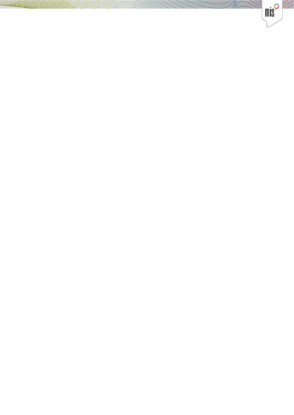